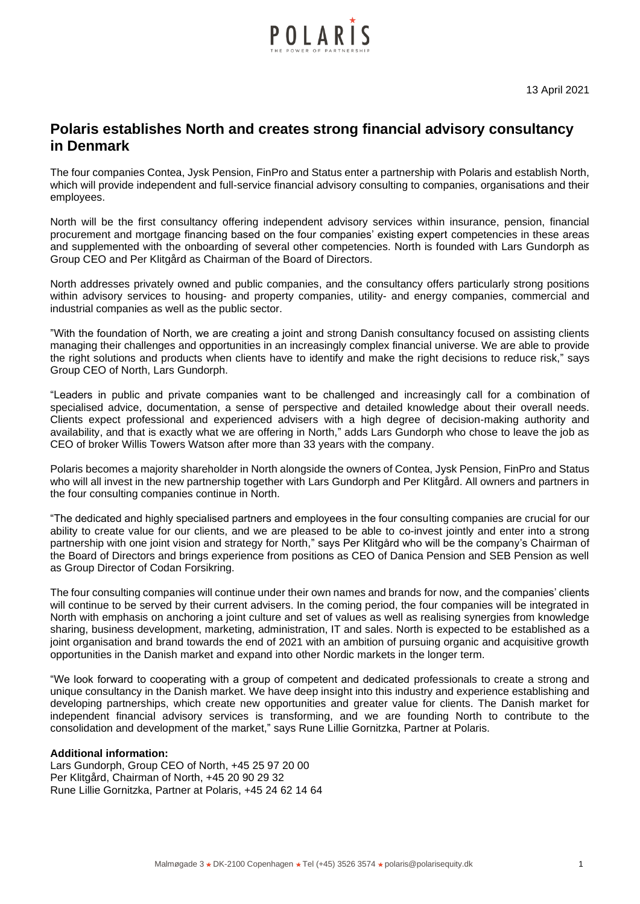

13 April 2021

# **Polaris establishes North and creates strong financial advisory consultancy in Denmark**

The four companies Contea, Jysk Pension, FinPro and Status enter a partnership with Polaris and establish North, which will provide independent and full-service financial advisory consulting to companies, organisations and their employees.

North will be the first consultancy offering independent advisory services within insurance, pension, financial procurement and mortgage financing based on the four companies' existing expert competencies in these areas and supplemented with the onboarding of several other competencies. North is founded with Lars Gundorph as Group CEO and Per Klitgård as Chairman of the Board of Directors.

North addresses privately owned and public companies, and the consultancy offers particularly strong positions within advisory services to housing- and property companies, utility- and energy companies, commercial and industrial companies as well as the public sector.

"With the foundation of North, we are creating a joint and strong Danish consultancy focused on assisting clients managing their challenges and opportunities in an increasingly complex financial universe. We are able to provide the right solutions and products when clients have to identify and make the right decisions to reduce risk," says Group CEO of North, Lars Gundorph.

"Leaders in public and private companies want to be challenged and increasingly call for a combination of specialised advice, documentation, a sense of perspective and detailed knowledge about their overall needs. Clients expect professional and experienced advisers with a high degree of decision-making authority and availability, and that is exactly what we are offering in North," adds Lars Gundorph who chose to leave the job as CEO of broker Willis Towers Watson after more than 33 years with the company.

Polaris becomes a majority shareholder in North alongside the owners of Contea, Jysk Pension, FinPro and Status who will all invest in the new partnership together with Lars Gundorph and Per Klitgård. All owners and partners in the four consulting companies continue in North.

"The dedicated and highly specialised partners and employees in the four consulting companies are crucial for our ability to create value for our clients, and we are pleased to be able to co-invest jointly and enter into a strong partnership with one joint vision and strategy for North," says Per Klitgård who will be the company's Chairman of the Board of Directors and brings experience from positions as CEO of Danica Pension and SEB Pension as well as Group Director of Codan Forsikring.

The four consulting companies will continue under their own names and brands for now, and the companies' clients will continue to be served by their current advisers. In the coming period, the four companies will be integrated in North with emphasis on anchoring a joint culture and set of values as well as realising synergies from knowledge sharing, business development, marketing, administration, IT and sales. North is expected to be established as a joint organisation and brand towards the end of 2021 with an ambition of pursuing organic and acquisitive growth opportunities in the Danish market and expand into other Nordic markets in the longer term.

"We look forward to cooperating with a group of competent and dedicated professionals to create a strong and unique consultancy in the Danish market. We have deep insight into this industry and experience establishing and developing partnerships, which create new opportunities and greater value for clients. The Danish market for independent financial advisory services is transforming, and we are founding North to contribute to the consolidation and development of the market," says Rune Lillie Gornitzka, Partner at Polaris.

## **Additional information:**

Lars Gundorph, Group CEO of North, +45 25 97 20 00 Per Klitgård, Chairman of North, +45 20 90 29 32 Rune Lillie Gornitzka, Partner at Polaris, +45 24 62 14 64